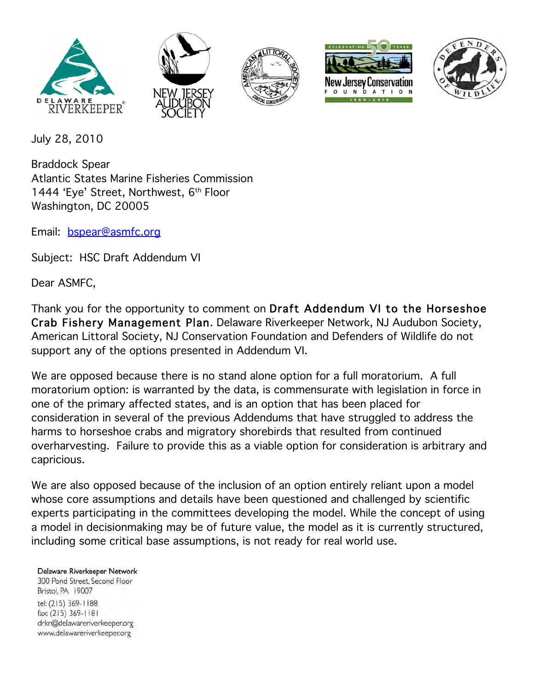









July 28, 2010

Braddock Spear Atlantic States Marine Fisheries Commission 1444 'Eye' Street, Northwest, 6th Floor Washington, DC 20005

Email: bspear@asmfc.org

Subject: HSC Draft Addendum VI

Dear ASMFC,

Thank you for the opportunity to comment on Draft Addendum VI to the Horseshoe Crab Fishery Management Plan. Delaware Riverkeeper Network, NJ Audubon Society, American Littoral Society, NJ Conservation Foundation and Defenders of Wildlife do not support any of the options presented in Addendum VI.

We are opposed because there is no stand alone option for a full moratorium. A full moratorium option: is warranted by the data, is commensurate with legislation in force in one of the primary affected states, and is an option that has been placed for consideration in several of the previous Addendums that have struggled to address the harms to horseshoe crabs and migratory shorebirds that resulted from continued overharvesting. Failure to provide this as a viable option for consideration is arbitrary and capricious.

We are also opposed because of the inclusion of an option entirely reliant upon a model whose core assumptions and details have been questioned and challenged by scientific experts participating in the committees developing the model. While the concept of using a model in decisionmaking may be of future value, the model as it is currently structured, including some critical base assumptions, is not ready for real world use.

Delaware Riverkeeper Network

300 Pond Street, Second Floor Bristol, PA 19007 tel: (215) 369-1188 fax: (215) 369-1181 drkn@delawareriverkeeper.org www.delawareriverkeeper.org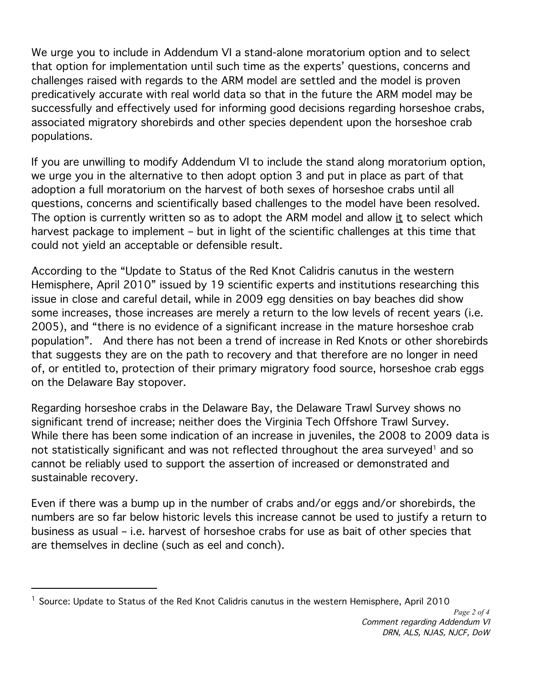We urge you to include in Addendum VI a stand-alone moratorium option and to select that option for implementation until such time as the experts' questions, concerns and challenges raised with regards to the ARM model are settled and the model is proven predicatively accurate with real world data so that in the future the ARM model may be successfully and effectively used for informing good decisions regarding horseshoe crabs, associated migratory shorebirds and other species dependent upon the horseshoe crab populations.

If you are unwilling to modify Addendum VI to include the stand along moratorium option, we urge you in the alternative to then adopt option 3 and put in place as part of that adoption a full moratorium on the harvest of both sexes of horseshoe crabs until all questions, concerns and scientifically based challenges to the model have been resolved. The option is currently written so as to adopt the ARM model and allow it to select which harvest package to implement – but in light of the scientific challenges at this time that could not yield an acceptable or defensible result.

According to the "Update to Status of the Red Knot Calidris canutus in the western Hemisphere, April 2010" issued by 19 scientific experts and institutions researching this issue in close and careful detail, while in 2009 egg densities on bay beaches did show some increases, those increases are merely a return to the low levels of recent years (i.e. 2005), and "there is no evidence of a significant increase in the mature horseshoe crab population". And there has not been a trend of increase in Red Knots or other shorebirds that suggests they are on the path to recovery and that therefore are no longer in need of, or entitled to, protection of their primary migratory food source, horseshoe crab eggs on the Delaware Bay stopover.

Regarding horseshoe crabs in the Delaware Bay, the Delaware Trawl Survey shows no significant trend of increase; neither does the Virginia Tech Offshore Trawl Survey. While there has been some indication of an increase in juveniles, the 2008 to 2009 data is not statistically significant and was not reflected throughout the area surveyed<sup>1</sup> and so cannot be reliably used to support the assertion of increased or demonstrated and sustainable recovery.

Even if there was a bump up in the number of crabs and/or eggs and/or shorebirds, the numbers are so far below historic levels this increase cannot be used to justify a return to business as usual – i.e. harvest of horseshoe crabs for use as bait of other species that are themselves in decline (such as eel and conch).

 $\overline{a}$ 

 $^1$  Source: Update to Status of the Red Knot Calidris canutus in the western Hemisphere, April 2010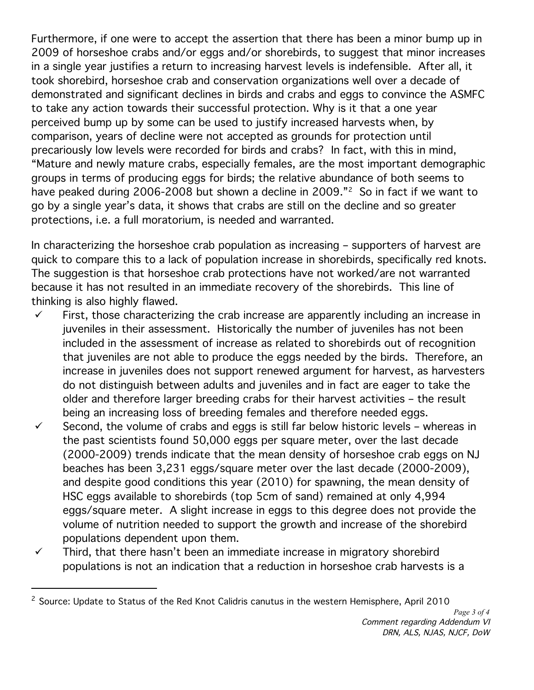Furthermore, if one were to accept the assertion that there has been a minor bump up in 2009 of horseshoe crabs and/or eggs and/or shorebirds, to suggest that minor increases in a single year justifies a return to increasing harvest levels is indefensible. After all, it took shorebird, horseshoe crab and conservation organizations well over a decade of demonstrated and significant declines in birds and crabs and eggs to convince the ASMFC to take any action towards their successful protection. Why is it that a one year perceived bump up by some can be used to justify increased harvests when, by comparison, years of decline were not accepted as grounds for protection until precariously low levels were recorded for birds and crabs? In fact, with this in mind, "Mature and newly mature crabs, especially females, are the most important demographic groups in terms of producing eggs for birds; the relative abundance of both seems to have peaked during 2006-2008 but shown a decline in 2009."<sup>2</sup> So in fact if we want to go by a single year's data, it shows that crabs are still on the decline and so greater protections, i.e. a full moratorium, is needed and warranted.

In characterizing the horseshoe crab population as increasing – supporters of harvest are quick to compare this to a lack of population increase in shorebirds, specifically red knots. The suggestion is that horseshoe crab protections have not worked/are not warranted because it has not resulted in an immediate recovery of the shorebirds. This line of thinking is also highly flawed.

- $\checkmark$  First, those characterizing the crab increase are apparently including an increase in juveniles in their assessment. Historically the number of juveniles has not been included in the assessment of increase as related to shorebirds out of recognition that juveniles are not able to produce the eggs needed by the birds. Therefore, an increase in juveniles does not support renewed argument for harvest, as harvesters do not distinguish between adults and juveniles and in fact are eager to take the older and therefore larger breeding crabs for their harvest activities – the result being an increasing loss of breeding females and therefore needed eggs.
- $\checkmark$  Second, the volume of crabs and eggs is still far below historic levels whereas in the past scientists found 50,000 eggs per square meter, over the last decade (2000-2009) trends indicate that the mean density of horseshoe crab eggs on NJ beaches has been 3,231 eggs/square meter over the last decade (2000-2009), and despite good conditions this year (2010) for spawning, the mean density of HSC eggs available to shorebirds (top 5cm of sand) remained at only 4,994 eggs/square meter. A slight increase in eggs to this degree does not provide the volume of nutrition needed to support the growth and increase of the shorebird populations dependent upon them.
- $\checkmark$  Third, that there hasn't been an immediate increase in migratory shorebird populations is not an indication that a reduction in horseshoe crab harvests is a

<sup>&</sup>lt;sup>2</sup> Source: Update to Status of the Red Knot Calidris canutus in the western Hemisphere, April 2010